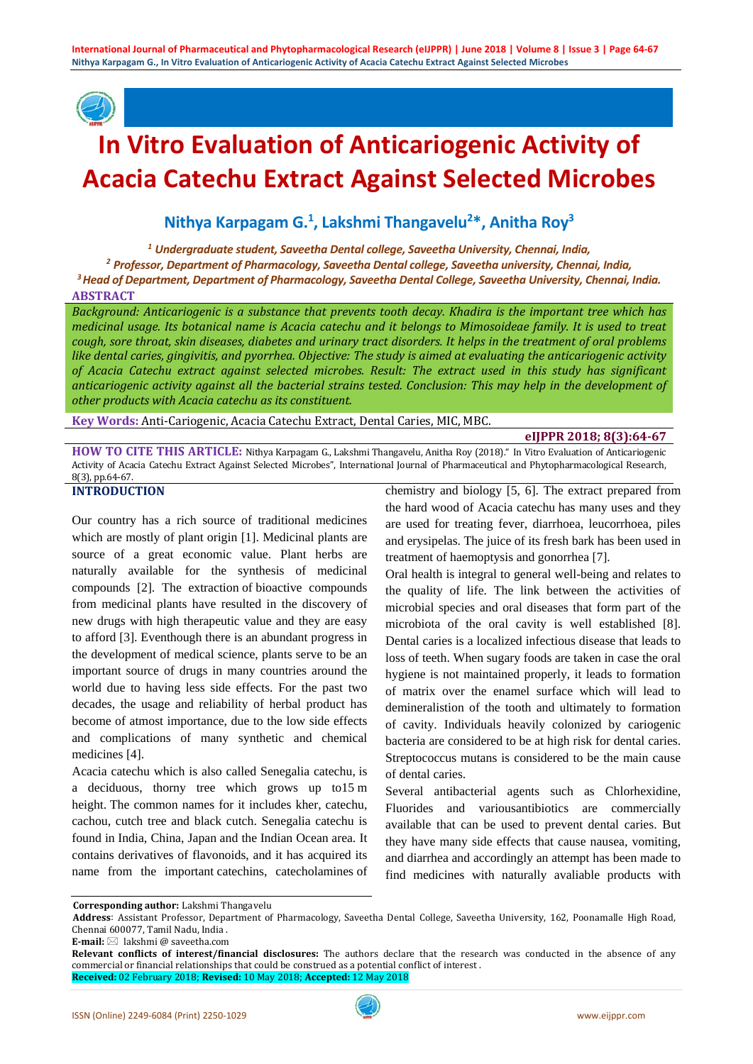

# **In Vitro Evaluation of Anticariogenic Activity of Acacia Catechu Extract Against Selected Microbes**

**Nithya Karpagam G. 1 , Lakshmi Thangavelu2 \*, Anitha Roy3**

*<sup>1</sup> Undergraduate student, Saveetha Dental college, Saveetha University, Chennai, India,*

*<sup>2</sup> Professor, Department of Pharmacology, Saveetha Dental college, Saveetha university, Chennai, India, 3 Head of Department, Department of Pharmacology, Saveetha Dental College, Saveetha University, Chennai, India.* **ABSTRACT**

*Background: Anticariogenic is a substance that prevents tooth decay. Khadira is the important tree which has medicinal usage. Its botanical name is Acacia catechu and it belongs to Mimosoideae family. It is used to treat cough, sore throat, skin diseases, diabetes and urinary tract disorders. It helps in the treatment of oral problems like dental caries, gingivitis, and pyorrhea. Objective: The study is aimed at evaluating the anticariogenic activity of Acacia Catechu extract against selected microbes. Result: The extract used in this study has significant anticariogenic activity against all the bacterial strains tested. Conclusion: This may help in the development of other products with Acacia catechu as its constituent.*

**Key Words:** Anti-Cariogenic, Acacia Catechu Extract, Dental Caries, MIC, MBC.

#### **eIJPPR 2018; 8(3):64-67**

**HOW TO CITE THIS ARTICLE:** Nithya Karpagam G., Lakshmi Thangavelu, Anitha Roy (2018)." In Vitro Evaluation of Anticariogenic Activity of Acacia Catechu Extract Against Selected Microbes", International Journal of Pharmaceutical and Phytopharmacological Research, 8(3), pp.64-67.

#### **INTRODUCTION**

Our country has a rich source of traditional medicines which are mostly of plant origin [1]. Medicinal plants are source of a great economic value. Plant herbs are naturally available for the synthesis of medicinal compounds [2]. The extraction of bioactive compounds from medicinal plants have resulted in the discovery of new drugs with high therapeutic value and they are easy to afford [3]. Eventhough there is an abundant progress in the development of medical science, plants serve to be an important source of drugs in many countries around the world due to having less side effects. For the past two decades, the usage and reliability of herbal product has become of atmost importance, due to the low side effects and complications of many synthetic and chemical medicines [4].

Acacia catechu which is also called Senegalia catechu, is a deciduous, thorny tree which grows up to15 m height. The common names for it includes kher, catechu, cachou, cutch tree and black cutch. Senegalia catechu is found in India, China, Japan and the Indian Ocean area. It contains derivatives of flavonoids, and it has acquired its name from the important catechins, catecholamines of chemistry and biology [5, 6]. The extract prepared from the hard wood of Acacia catechu has many uses and they are used for treating fever, diarrhoea, leucorrhoea, piles and erysipelas. The juice of its fresh bark has been used in treatment of haemoptysis and gonorrhea [7].

Oral health is integral to general well-being and relates to the quality of life. The link between the activities of microbial species and oral diseases that form part of the microbiota of the oral cavity is well established [8]. Dental caries is a localized infectious disease that leads to loss of teeth. When sugary foods are taken in case the oral hygiene is not maintained properly, it leads to formation of matrix over the enamel surface which will lead to demineralistion of the tooth and ultimately to formation of cavity. Individuals heavily colonized by cariogenic bacteria are considered to be at high risk for dental caries. Streptococcus mutans is considered to be the main cause of dental caries.

Several antibacterial agents such as Chlorhexidine, Fluorides and variousantibiotics are commercially available that can be used to prevent dental caries. But they have many side effects that cause nausea, vomiting, and diarrhea and accordingly an attempt has been made to find medicines with naturally avaliable products with

**E-mail:** ⊠ lakshmi @ saveetha.com

**Corresponding author:** Lakshmi Thangavelu

**Address**: Assistant Professor, Department of Pharmacology, Saveetha Dental College, Saveetha University, 162, Poonamalle High Road, Chennai 600077, Tamil Nadu, India .

**Relevant conflicts of interest/financial disclosures:** The authors declare that the research was conducted in the absence of any commercial or financial relationships that could be construed as a potential conflict of interest . **Received:** 02 February 2018; **Revised:** 10 May 2018; **Accepted:** 12 May 2018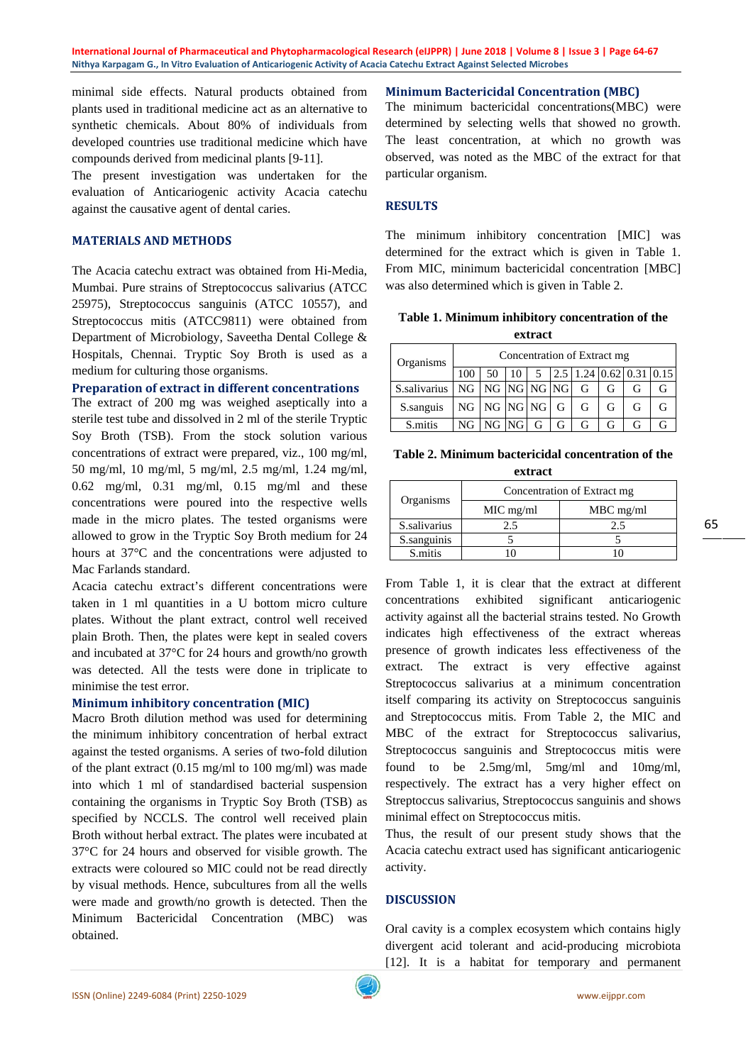**International Journal of Pharmaceutical and Phytopharmacological Research (eIJPPR) | June 2018 | Volume 8 | Issue 3 | Page 64-67 Nithya Karpagam G., In Vitro Evaluation of Anticariogenic Activity of Acacia Catechu Extract Against Selected Microbes**

minimal side effects. Natural products obtained from plants used in traditional medicine act as an alternative to synthetic chemicals. About 80% of individuals from developed countries use traditional medicine which have compounds derived from medicinal plants [9-11].

The present investigation was undertaken for the evaluation of Anticariogenic activity Acacia catechu against the causative agent of dental caries.

#### **MATERIALS AND METHODS**

The Acacia catechu extract was obtained from Hi-Media, Mumbai. Pure strains of Streptococcus salivarius (ATCC 25975), Streptococcus sanguinis (ATCC 10557), and Streptococcus mitis (ATCC9811) were obtained from Department of Microbiology, Saveetha Dental College & Hospitals, Chennai. Tryptic Soy Broth is used as a medium for culturing those organisms.

#### **Preparation of extract in different concentrations**

The extract of 200 mg was weighed aseptically into a sterile test tube and dissolved in 2 ml of the sterile Tryptic Soy Broth (TSB). From the stock solution various concentrations of extract were prepared, viz., 100 mg/ml, 50 mg/ml, 10 mg/ml, 5 mg/ml, 2.5 mg/ml, 1.24 mg/ml, 0.62 mg/ml, 0.31 mg/ml, 0.15 mg/ml and these concentrations were poured into the respective wells made in the micro plates. The tested organisms were allowed to grow in the Tryptic Soy Broth medium for 24 hours at 37°C and the concentrations were adjusted to Mac Farlands standard.

Acacia catechu extract's different concentrations were taken in 1 ml quantities in a U bottom micro culture plates. Without the plant extract, control well received plain Broth. Then, the plates were kept in sealed covers and incubated at 37°C for 24 hours and growth/no growth was detected. All the tests were done in triplicate to minimise the test error.

#### **Minimum inhibitory concentration (MIC)**

Macro Broth dilution method was used for determining the minimum inhibitory concentration of herbal extract against the tested organisms. A series of two-fold dilution of the plant extract (0.15 mg/ml to 100 mg/ml) was made into which 1 ml of standardised bacterial suspension containing the organisms in Tryptic Soy Broth (TSB) as specified by NCCLS. The control well received plain Broth without herbal extract. The plates were incubated at 37°C for 24 hours and observed for visible growth. The extracts were coloured so MIC could not be read directly by visual methods. Hence, subcultures from all the wells were made and growth/no growth is detected. Then the Minimum Bactericidal Concentration (MBC) was obtained.

## **Minimum Bactericidal Concentration (MBC)**

The minimum bactericidal concentrations(MBC) were determined by selecting wells that showed no growth. The least concentration, at which no growth was observed, was noted as the MBC of the extract for that particular organism.

## **RESULTS**

The minimum inhibitory concentration [MIC] was determined for the extract which is given in Table 1. From MIC, minimum bactericidal concentration [MBC] was also determined which is given in Table 2.

| Table 1. Minimum inhibitory concentration of the |         |  |
|--------------------------------------------------|---------|--|
|                                                  | extract |  |

| Organisms                             |    | Concentration of Extract mg |           |  |  |                                                                     |   |  |
|---------------------------------------|----|-----------------------------|-----------|--|--|---------------------------------------------------------------------|---|--|
|                                       |    |                             | 10.       |  |  | $\begin{bmatrix} 5 & 2.5 & 1.24 & 0.62 & 0.31 & 0.15 \end{bmatrix}$ |   |  |
| S.salivarius   NG   NG   NG   NG   NG |    |                             |           |  |  |                                                                     |   |  |
| S.sanguis                             |    | $NG$ $NG$ $NG$ $NG$ $G$     |           |  |  |                                                                     |   |  |
| S mitis                               | NG |                             | $NG$ $NG$ |  |  |                                                                     | G |  |

| Table 2. Minimum bactericidal concentration of the |  |
|----------------------------------------------------|--|
| extract                                            |  |

| Organisms    | Concentration of Extract mg |             |  |  |
|--------------|-----------------------------|-------------|--|--|
|              | $MIC$ mg/ml                 | $MBC$ mg/ml |  |  |
| S.salivarius | 2.5                         | 2.5         |  |  |
| S.sanguinis  |                             |             |  |  |
| S.mitis      |                             |             |  |  |

From Table 1, it is clear that the extract at different concentrations exhibited significant anticariogenic activity against all the bacterial strains tested. No Growth indicates high effectiveness of the extract whereas presence of growth indicates less effectiveness of the extract. The extract is very effective against Streptococcus salivarius at a minimum concentration itself comparing its activity on Streptococcus sanguinis and Streptococcus mitis. From Table 2, the MIC and MBC of the extract for Streptococcus salivarius, Streptococcus sanguinis and Streptococcus mitis were found to be 2.5mg/ml, 5mg/ml and 10mg/ml, respectively. The extract has a very higher effect on Streptoccus salivarius, Streptococcus sanguinis and shows minimal effect on Streptococcus mitis.

Thus, the result of our present study shows that the Acacia catechu extract used has significant anticariogenic activity.

## **DISCUSSION**

Oral cavity is a complex ecosystem which contains higly divergent acid tolerant and acid-producing microbiota [12]. It is a habitat for temporary and permanent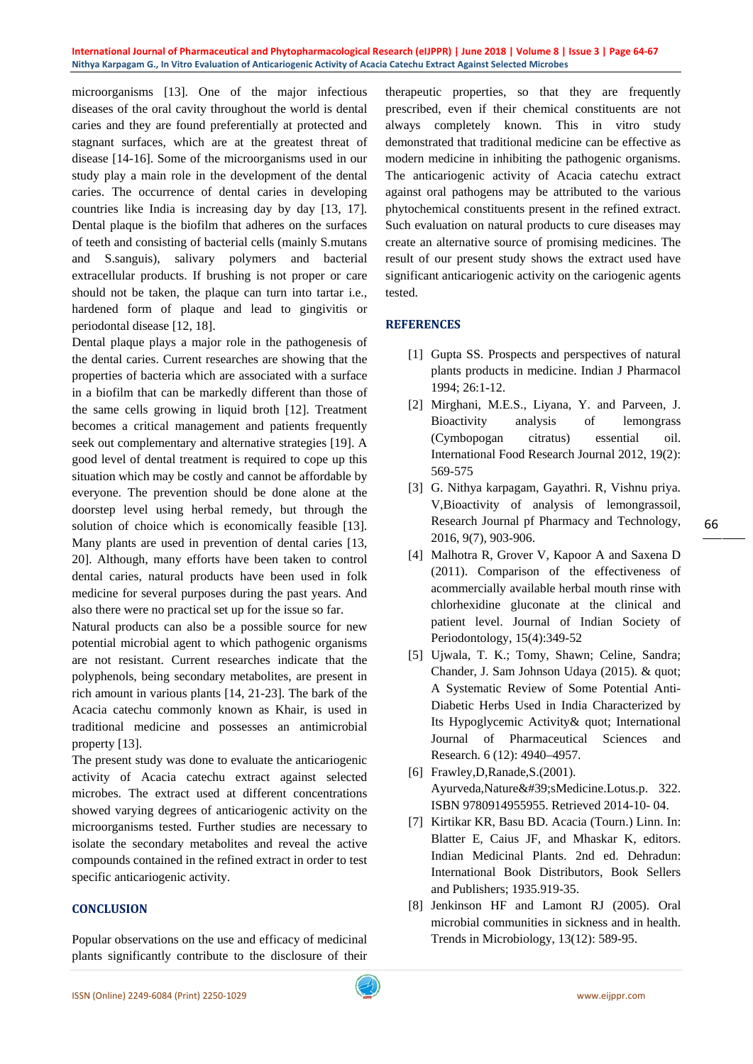**International Journal of Pharmaceutical and Phytopharmacological Research (eIJPPR) | June 2018 | Volume 8 | Issue 3 | Page 64-67 Nithya Karpagam G., In Vitro Evaluation of Anticariogenic Activity of Acacia Catechu Extract Against Selected Microbes**

microorganisms [13]. One of the major infectious diseases of the oral cavity throughout the world is dental caries and they are found preferentially at protected and stagnant surfaces, which are at the greatest threat of disease [14-16]. Some of the microorganisms used in our study play a main role in the development of the dental caries. The occurrence of dental caries in developing countries like India is increasing day by day [13, 17]. Dental plaque is the biofilm that adheres on the surfaces of teeth and consisting of bacterial cells (mainly S.mutans and S.sanguis), salivary polymers and bacterial extracellular products. If brushing is not proper or care should not be taken, the plaque can turn into tartar i.e., hardened form of plaque and lead to gingivitis or periodontal disease [12, 18].

Dental plaque plays a major role in the pathogenesis of the dental caries. Current researches are showing that the properties of bacteria which are associated with a surface in a biofilm that can be markedly different than those of the same cells growing in liquid broth [12]. Treatment becomes a critical management and patients frequently seek out complementary and alternative strategies [19]. A good level of dental treatment is required to cope up this situation which may be costly and cannot be affordable by everyone. The prevention should be done alone at the doorstep level using herbal remedy, but through the solution of choice which is economically feasible [13]. Many plants are used in prevention of dental caries [13, 20]. Although, many efforts have been taken to control dental caries, natural products have been used in folk medicine for several purposes during the past years. And also there were no practical set up for the issue so far.

Natural products can also be a possible source for new potential microbial agent to which pathogenic organisms are not resistant. Current researches indicate that the polyphenols, being secondary metabolites, are present in rich amount in various plants [14, 21-23]. The bark of the Acacia catechu commonly known as Khair, is used in traditional medicine and possesses an antimicrobial property [13].

The present study was done to evaluate the anticariogenic activity of Acacia catechu extract against selected microbes. The extract used at different concentrations showed varying degrees of anticariogenic activity on the microorganisms tested. Further studies are necessary to isolate the secondary metabolites and reveal the active compounds contained in the refined extract in order to test specific anticariogenic activity.

## **CONCLUSION**

Popular observations on the use and efficacy of medicinal plants significantly contribute to the disclosure of their

therapeutic properties, so that they are frequently prescribed, even if their chemical constituents are not always completely known. This in vitro study demonstrated that traditional medicine can be effective as modern medicine in inhibiting the pathogenic organisms. The anticariogenic activity of Acacia catechu extract against oral pathogens may be attributed to the various phytochemical constituents present in the refined extract. Such evaluation on natural products to cure diseases may create an alternative source of promising medicines. The result of our present study shows the extract used have significant anticariogenic activity on the cariogenic agents tested.

## **REFERENCES**

- [1] Gupta SS. Prospects and perspectives of natural plants products in medicine. Indian J Pharmacol 1994; 26:1-12.
- [2] Mirghani, M.E.S., Liyana, Y. and Parveen, J. Bioactivity analysis of lemongrass (Cymbopogan citratus) essential oil. International Food Research Journal 2012, 19(2): 569-575
- [3] G. Nithya karpagam, Gayathri. R, Vishnu priya. V,Bioactivity of analysis of lemongrassoil, Research Journal pf Pharmacy and Technology, 2016, 9(7), 903-906.
- [4] Malhotra R, Grover V, Kapoor A and Saxena D (2011). Comparison of the effectiveness of acommercially available herbal mouth rinse with chlorhexidine gluconate at the clinical and patient level. Journal of Indian Society of Periodontology, 15(4):349-52
- [5] Ujwala, T. K.; Tomy, Shawn; Celine, Sandra; Chander, J. Sam Johnson Udaya (2015). & quot; A Systematic Review of Some Potential Anti-Diabetic Herbs Used in India Characterized by Its Hypoglycemic Activity& quot; International Journal of Pharmaceutical Sciences and Research. 6 (12): 4940–4957.
- [6] Frawley,D,Ranade,S.(2001). Ayurveda, Nature' sMedicine. Lotus.p. 322. ISBN 9780914955955. Retrieved 2014-10- 04.
- [7] Kirtikar KR, Basu BD. Acacia (Tourn.) Linn. In: Blatter E, Caius JF, and Mhaskar K, editors. Indian Medicinal Plants. 2nd ed. Dehradun: International Book Distributors, Book Sellers and Publishers; 1935.919-35.
- [8] Jenkinson HF and Lamont RJ (2005). Oral microbial communities in sickness and in health. Trends in Microbiology, 13(12): 589-95.